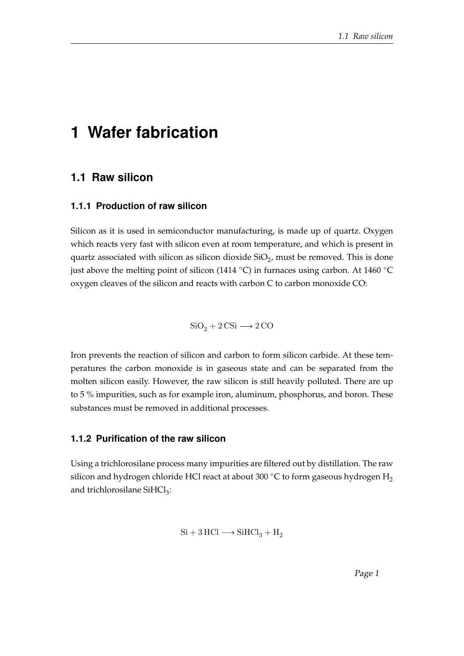# **1 Wafer fabrication**

## **1.1 Raw silicon**

#### **1.1.1 Production of raw silicon**

Silicon as it is used in semiconductor manufacturing, is made up of quartz. Oxygen which reacts very fast with silicon even at room temperature, and which is present in quartz associated with silicon as silicon dioxide  $\rm SiO_2$ , must be removed. This is done just above the melting point of silicon (1414 °C) in furnaces using carbon. At 1460 °C oxygen cleaves of the silicon and reacts with carbon C to carbon monoxide CO:

 $SiO<sub>2</sub> + 2 CSi \longrightarrow 2 CO$ 

Iron prevents the reaction of silicon and carbon to form silicon carbide. At these temperatures the carbon monoxide is in gaseous state and can be separated from the molten silicon easily. However, the raw silicon is still heavily polluted. There are up to 5 % impurities, such as for example iron, aluminum, phosphorus, and boron. These substances must be removed in additional processes.

### **1.1.2 Purification of the raw silicon**

Using a trichlorosilane process many impurities are filtered out by distillation. The raw silicon and hydrogen chloride HCl react at about 300 °C to form gaseous hydrogen  $H_2$ and trichlorosilane  $SiHCl<sub>3</sub>$ :

$$
\mathrm{Si} + 3\,\mathrm{HCl} \longrightarrow \mathrm{SiHCl}_3 + \mathrm{H}_2
$$

Page 1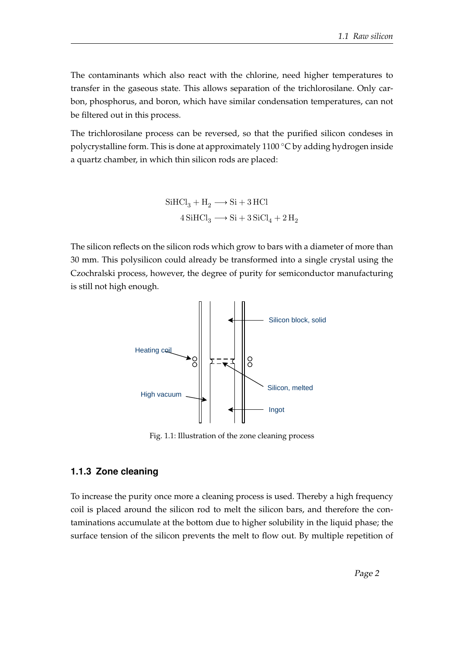The contaminants which also react with the chlorine, need higher temperatures to transfer in the gaseous state. This allows separation of the trichlorosilane. Only carbon, phosphorus, and boron, which have similar condensation temperatures, can not be filtered out in this process.

The trichlorosilane process can be reversed, so that the purified silicon condeses in polycrystalline form. This is done at approximately 1100 ◦C by adding hydrogen inside a quartz chamber, in which thin silicon rods are placed:

> $\text{SiHCl}_3 + \text{H}_2 \longrightarrow \text{Si} + 3 \text{ HCl}$  $4\,\text{SiHCl}_3 \longrightarrow \text{Si} + 3\,\text{SiCl}_4 + 2\,\text{H}_2$

The silicon reflects on the silicon rods which grow to bars with a diameter of more than 30 mm. This polysilicon could already be transformed into a single crystal using the Czochralski process, however, the degree of purity for semiconductor manufacturing is still not high enough.



Fig. 1.1: Illustration of the zone cleaning process

#### **1.1.3 Zone cleaning**

To increase the purity once more a cleaning process is used. Thereby a high frequency coil is placed around the silicon rod to melt the silicon bars, and therefore the contaminations accumulate at the bottom due to higher solubility in the liquid phase; the surface tension of the silicon prevents the melt to flow out. By multiple repetition of